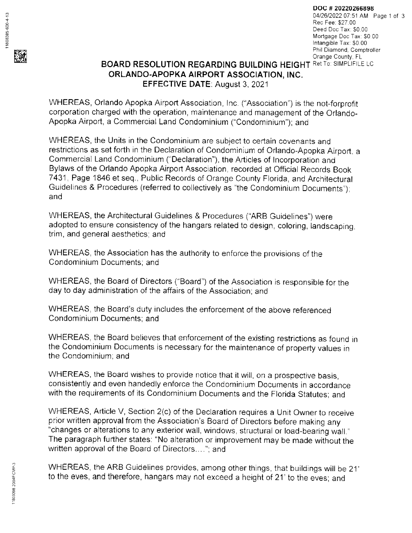

DOC # 20220266898 <sup>0412612022</sup>07:51 AM Page 1 of <sup>3</sup> Rec Fee. \$27 00 Deed Doc Tax: \$0.00 Mortgage Doc Tax: \$0.00 Intangible Tax: \$0.00<br>Phil Diamond, Comptroller Orange County, FL

## **BOARD RESOLUTION REGARDING BUILDING HEIGHT Ret TO: SIMPLIFILE LC** ORLANDO.APOPKA AIRPORT ASSOCIATION, INC, EFFECTIVE DATE: August 3,2021

WHEREAS, Orlando Apopka Airport Association, lnc. ("Association") is the not-forprofit corporation charged with the operation, maintenance and management of the Orlando-Apopka Airport, a Commercial Land Condorninium ("Condominium"); and

WHEREAS, the Units in the Condominium are subject to certain covenants and restrictions as set forth in the Declaration of Condominium of Orlando-Apopka Airport, a Commercial Land Condominium ("Declaration"), the Articles of lncorporation and Bylaws of the Orlando Apopka Airport Association. recorded at Official Records Book 7431 , Page 1846 et seq., Public Records of Orange County Florida, and Architectural Guidelines & Procedures (referred to collectively as "the Condominium Documents'): and

WHEREAS, the Architectural Guidelines & Procedures ("ARB Guidelines") were adopted to ensure consistency of the hangars related to design, coloring, landscaping, trim, and general aesthetics; and

WHEREAS, the Association has the authority to enforce the provisions of the Condominium Documents; and

WHEREAS, the Board of Directors ("Board") of the Association is responsible for the day to day administration of the affairs of the Association; and

WHEREAS. the Board's duty includes the enforcement of the above referenced Condominium Documents; and

WHEREAS. the Board believes that enforcement of the existing restrictions as found in the Condominium Documents is necessary for the maintenance of properly values in the Condominium; and

WHEREAS, the Board wishes to provide notice that it will, on a prospective basis, consistently and even handedly enforce the Condominium Documents in accordance with the requirements of its Condominium Documents and the Florida Statutes; and

WHEREAS, Article V, Section 2(c) of the Declaration requires a Unit Owner to receive prior written approval from the Association's Board of Directors before making any "changes or alterations to any exterior wall, windows, structural or load-bearing wall ' The paragraph further states: "No alteration or improvement may be made without the written approval of the Board of Directors...."; and

WHEREAS, the ARB Guidelines provides, among other things, that buildings will be 21' to the eves, and therefore, hangars may not exceed a height of 21'to the eves; and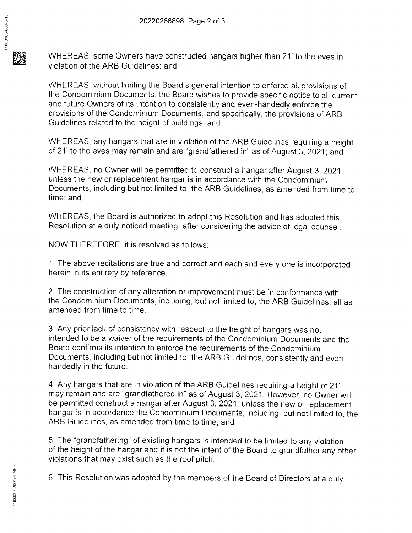WHEREAS, some Owners have constructed hangars higher than 21' to the eves in violation of the ARB Guidelines: and

WHEREAS, without limiting the Board's general intention to enforce all provisions of the Condominium Documents, the Board wishes to provide specific notice to all current and future Owners of its intention to consistently and even-handedly enforce the provisions of the Condominium Documents, and specifically. the provisions of ARB Guidelines related to the height of buildings; and

WHEREAS, any hangars that are in violation of the ARB Guidelines requiring a height of 21' to the eves may remain and are "grandfathered in'' as of August 3, 2021; and

WHEREAS, no Owner will be permitted to construct a hangar after August 3.2021. unless the new or replacement hangar is in accordance with the Condominium Documents, including but not limited to, the ARB Guidelines, as amended from time to time; and

WHEREAS, the Board is authorized to adopt this Resolution and has adopted this Resolution at a duly noticed meeting, after considering the advice of legal counsel.

NOW THEREFORE, it is resolved as follows.

1. The above recitations are true and correct and each and every one is incorporated herein in its entirety by reference.

2. The construction of any alteration or improvement must be in conformance with the Condominium Documents, including, but not limited to, the ARB Guidelines, all as amended from time to time.

3. Any prior lack of consistency with respect to the height of hangars was not intended to be a waiver of the requirements of the Condominiurn Documents and the Board confirms its intention to enforce the requirements of the Condominium Documents. including but not limited to, the ARB Guidelines, consistently and even handedly in the future.

4. Any hangars that are in violation of theARB Guidelines requiring a height of 21' may remain and are "grandfathered in" as of August 3, 2021. However, no Owner will be permitted construct a hangar after August 3,2021. unless the new or replacement hangar is in accordance the Condominium Documents, including, but not limited to, the ARB Guidelines, as amended from time to time, and

5. The "grandfathering" of existing hangars is intended to be limited to any violation of the height of the hangar and it is not the intent of the Board to grandfather any other violations that may exist such as the roof pitch.

6. This Resolution was adopted by the members of the Board of Directors at a duly